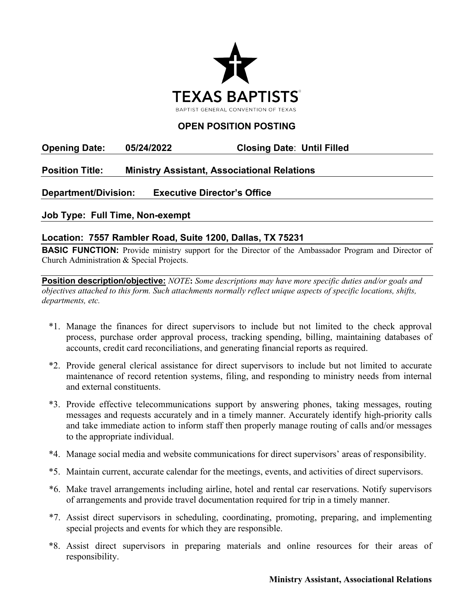

## **OPEN POSITION POSTING**

**Opening Date: 05/24/2022 Closing Date**: **Until Filled** 

## **Position Title: Ministry Assistant, Associational Relations**

**Department/Division: Executive Director's Office**

**Job Type: Full Time, Non-exempt**

## **Location: 7557 Rambler Road, Suite 1200, Dallas, TX 75231**

**BASIC FUNCTION:** Provide ministry support for the Director of the Ambassador Program and Director of Church Administration & Special Projects.

**Position description/objective:** *NOTE***:** *Some descriptions may have more specific duties and/or goals and objectives attached to this form. Such attachments normally reflect unique aspects of specific locations, shifts, departments, etc.* 

- \*1. Manage the finances for direct supervisors to include but not limited to the check approval process, purchase order approval process, tracking spending, billing, maintaining databases of accounts, credit card reconciliations, and generating financial reports as required.
- \*2. Provide general clerical assistance for direct supervisors to include but not limited to accurate maintenance of record retention systems, filing, and responding to ministry needs from internal and external constituents.
- \*3. Provide effective telecommunications support by answering phones, taking messages, routing messages and requests accurately and in a timely manner. Accurately identify high-priority calls and take immediate action to inform staff then properly manage routing of calls and/or messages to the appropriate individual.
- \*4. Manage social media and website communications for direct supervisors' areas of responsibility.
- \*5. Maintain current, accurate calendar for the meetings, events, and activities of direct supervisors.
- \*6. Make travel arrangements including airline, hotel and rental car reservations. Notify supervisors of arrangements and provide travel documentation required for trip in a timely manner.
- \*7. Assist direct supervisors in scheduling, coordinating, promoting, preparing, and implementing special projects and events for which they are responsible.
- \*8. Assist direct supervisors in preparing materials and online resources for their areas of responsibility.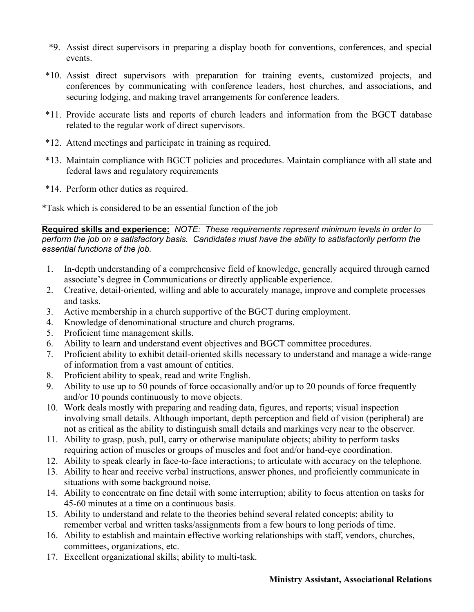- \*9. Assist direct supervisors in preparing a display booth for conventions, conferences, and special events.
- \*10. Assist direct supervisors with preparation for training events, customized projects, and conferences by communicating with conference leaders, host churches, and associations, and securing lodging, and making travel arrangements for conference leaders.
- \*11. Provide accurate lists and reports of church leaders and information from the BGCT database related to the regular work of direct supervisors.
- \*12. Attend meetings and participate in training as required.
- \*13. Maintain compliance with BGCT policies and procedures. Maintain compliance with all state and federal laws and regulatory requirements
- \*14. Perform other duties as required.

\*Task which is considered to be an essential function of the job

**Required skills and experience:** *NOTE: These requirements represent minimum levels in order to perform the job on a satisfactory basis. Candidates must have the ability to satisfactorily perform the essential functions of the job.*

- 1. In-depth understanding of a comprehensive field of knowledge, generally acquired through earned associate's degree in Communications or directly applicable experience.
- 2. Creative, detail-oriented, willing and able to accurately manage, improve and complete processes and tasks.
- 3. Active membership in a church supportive of the BGCT during employment.
- 4. Knowledge of denominational structure and church programs.
- 5. Proficient time management skills.
- 6. Ability to learn and understand event objectives and BGCT committee procedures.
- 7. Proficient ability to exhibit detail-oriented skills necessary to understand and manage a wide-range of information from a vast amount of entities.
- 8. Proficient ability to speak, read and write English.
- 9. Ability to use up to 50 pounds of force occasionally and/or up to 20 pounds of force frequently and/or 10 pounds continuously to move objects.
- 10. Work deals mostly with preparing and reading data, figures, and reports; visual inspection involving small details. Although important, depth perception and field of vision (peripheral) are not as critical as the ability to distinguish small details and markings very near to the observer.
- 11. Ability to grasp, push, pull, carry or otherwise manipulate objects; ability to perform tasks requiring action of muscles or groups of muscles and foot and/or hand-eye coordination.
- 12. Ability to speak clearly in face-to-face interactions; to articulate with accuracy on the telephone.
- 13. Ability to hear and receive verbal instructions, answer phones, and proficiently communicate in situations with some background noise.
- 14. Ability to concentrate on fine detail with some interruption; ability to focus attention on tasks for 45-60 minutes at a time on a continuous basis.
- 15. Ability to understand and relate to the theories behind several related concepts; ability to remember verbal and written tasks/assignments from a few hours to long periods of time.
- 16. Ability to establish and maintain effective working relationships with staff, vendors, churches, committees, organizations, etc.
- 17. Excellent organizational skills; ability to multi-task.